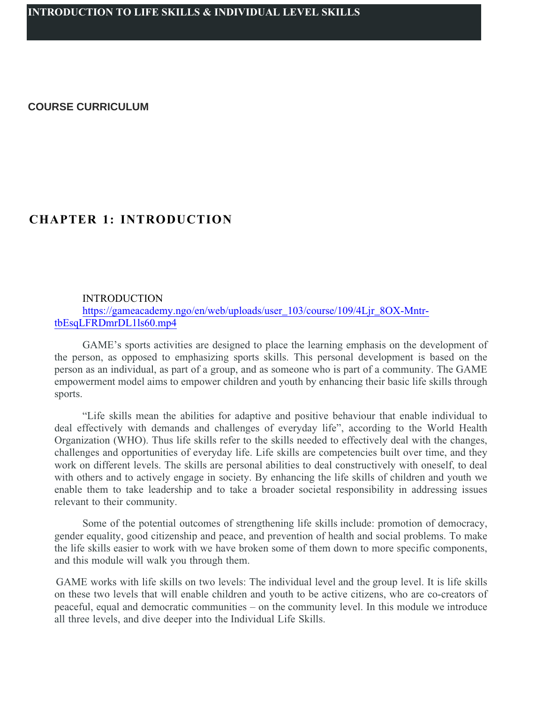**COURSE CURRICULUM**

# **CHAPTER 1: INTRODUCTION**

#### INTRODUCTION

[https://gameacademy.ngo/en/web/uploads/user\\_103/course/109/4Ljr\\_8OX-Mntr](https://gameacademy.ngo/en/web/uploads/user_103/course/109/4Ljr_8OX-Mntr-tbEsqLFRDmrDL1ls60.mp4)[tbEsqLFRDmrDL1ls60.mp4](https://gameacademy.ngo/en/web/uploads/user_103/course/109/4Ljr_8OX-Mntr-tbEsqLFRDmrDL1ls60.mp4)

GAME's sports activities are designed to place the learning emphasis on the development of the person, as opposed to emphasizing sports skills. This personal development is based on the person as an individual, as part of a group, and as someone who is part of a community. The GAME empowerment model aims to empower children and youth by enhancing their basic life skills through sports.

"Life skills mean the abilities for adaptive and positive behaviour that enable individual to deal effectively with demands and challenges of everyday life", according to the World Health Organization (WHO). Thus life skills refer to the skills needed to effectively deal with the changes, challenges and opportunities of everyday life. Life skills are competencies built over time, and they work on different levels. The skills are personal abilities to deal constructively with oneself, to deal with others and to actively engage in society. By enhancing the life skills of children and youth we enable them to take leadership and to take a broader societal responsibility in addressing issues relevant to their community.

Some of the potential outcomes of strengthening life skills include: promotion of democracy, gender equality, good citizenship and peace, and prevention of health and social problems. To make the life skills easier to work with we have broken some of them down to more specific components, and this module will walk you through them.

GAME works with life skills on two levels: The individual level and the group level. It is life skills on these two levels that will enable children and youth to be active citizens, who are co-creators of peaceful, equal and democratic communities – on the community level. In this module we introduce all three levels, and dive deeper into the Individual Life Skills.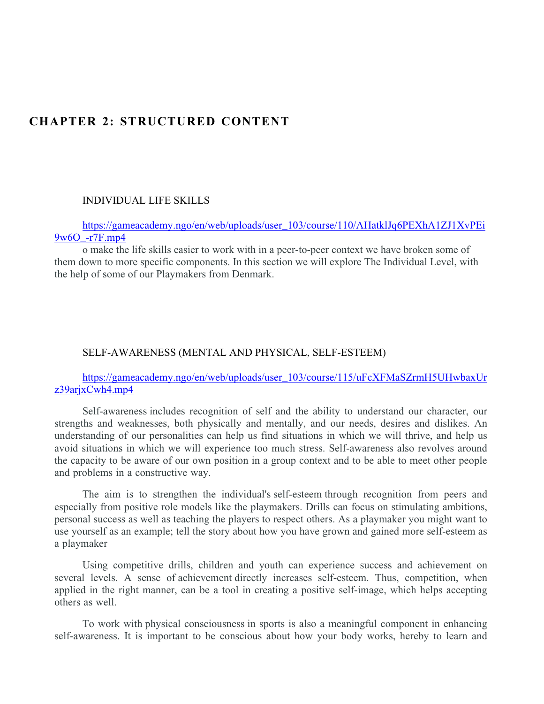# **CHAPTER 2: STRUCTURED CONTENT**

#### INDIVIDUAL LIFE SKILLS

#### [https://gameacademy.ngo/en/web/uploads/user\\_103/course/110/AHatklJq6PEXhA1ZJ1XvPEi](https://gameacademy.ngo/en/web/uploads/user_103/course/110/AHatklJq6PEXhA1ZJ1XvPEi9w6O_-r7F.mp4) [9w6O\\_-r7F.mp4](https://gameacademy.ngo/en/web/uploads/user_103/course/110/AHatklJq6PEXhA1ZJ1XvPEi9w6O_-r7F.mp4)

o make the life skills easier to work with in a peer-to-peer context we have broken some of them down to more specific components. In this section we will explore The Individual Level, with the help of some of our Playmakers from Denmark.

#### SELF-AWARENESS (MENTAL AND PHYSICAL, SELF-ESTEEM)

#### [https://gameacademy.ngo/en/web/uploads/user\\_103/course/115/uFcXFMaSZrmH5UHwbaxUr](https://gameacademy.ngo/en/web/uploads/user_103/course/115/uFcXFMaSZrmH5UHwbaxUrz39arjxCwh4.mp4) [z39arjxCwh4.mp4](https://gameacademy.ngo/en/web/uploads/user_103/course/115/uFcXFMaSZrmH5UHwbaxUrz39arjxCwh4.mp4)

Self-awareness includes recognition of self and the ability to understand our character, our strengths and weaknesses, both physically and mentally, and our needs, desires and dislikes. An understanding of our personalities can help us find situations in which we will thrive, and help us avoid situations in which we will experience too much stress. Self-awareness also revolves around the capacity to be aware of our own position in a group context and to be able to meet other people and problems in a constructive way.

The aim is to strengthen the individual's self-esteem through recognition from peers and especially from positive role models like the playmakers. Drills can focus on stimulating ambitions, personal success as well as teaching the players to respect others. As a playmaker you might want to use yourself as an example; tell the story about how you have grown and gained more self-esteem as a playmaker

Using competitive drills, children and youth can experience success and achievement on several levels. A sense of achievement directly increases self-esteem. Thus, competition, when applied in the right manner, can be a tool in creating a positive self-image, which helps accepting others as well.

To work with physical consciousness in sports is also a meaningful component in enhancing self-awareness. It is important to be conscious about how your body works, hereby to learn and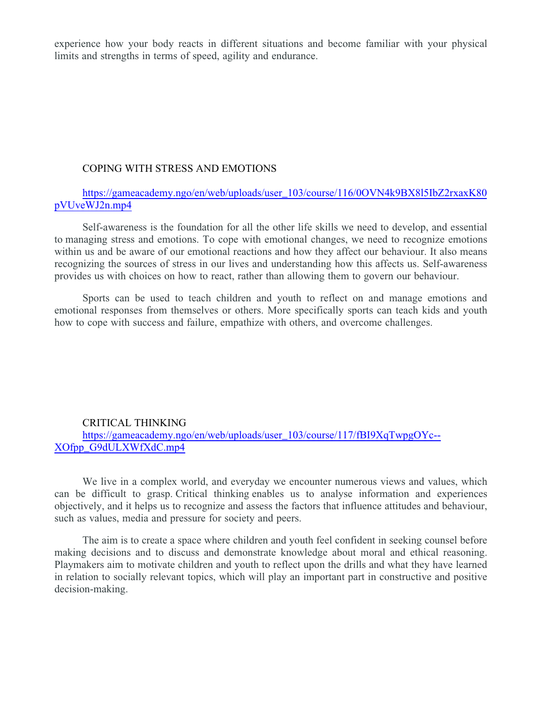experience how your body reacts in different situations and become familiar with your physical limits and strengths in terms of speed, agility and endurance.

## COPING WITH STRESS AND EMOTIONS

### [https://gameacademy.ngo/en/web/uploads/user\\_103/course/116/0OVN4k9BX8l5IbZ2rxaxK80](https://gameacademy.ngo/en/web/uploads/user_103/course/116/0OVN4k9BX8l5IbZ2rxaxK80pVUveWJ2n.mp4) [pVUveWJ2n.mp4](https://gameacademy.ngo/en/web/uploads/user_103/course/116/0OVN4k9BX8l5IbZ2rxaxK80pVUveWJ2n.mp4)

Self-awareness is the foundation for all the other life skills we need to develop, and essential to managing stress and emotions. To cope with emotional changes, we need to recognize emotions within us and be aware of our emotional reactions and how they affect our behaviour. It also means recognizing the sources of stress in our lives and understanding how this affects us. Self-awareness provides us with choices on how to react, rather than allowing them to govern our behaviour.

Sports can be used to teach children and youth to reflect on and manage emotions and emotional responses from themselves or others. More specifically sports can teach kids and youth how to cope with success and failure, empathize with others, and overcome challenges.

CRITICAL THINKING [https://gameacademy.ngo/en/web/uploads/user\\_103/course/117/fBI9XqTwpgOYc--](https://gameacademy.ngo/en/web/uploads/user_103/course/117/fBI9XqTwpgOYc--XOfpp_G9dULXWfXdC.mp4) [XOfpp\\_G9dULXWfXdC.mp4](https://gameacademy.ngo/en/web/uploads/user_103/course/117/fBI9XqTwpgOYc--XOfpp_G9dULXWfXdC.mp4)

We live in a complex world, and everyday we encounter numerous views and values, which can be difficult to grasp. Critical thinking enables us to analyse information and experiences objectively, and it helps us to recognize and assess the factors that influence attitudes and behaviour, such as values, media and pressure for society and peers.

The aim is to create a space where children and youth feel confident in seeking counsel before making decisions and to discuss and demonstrate knowledge about moral and ethical reasoning. Playmakers aim to motivate children and youth to reflect upon the drills and what they have learned in relation to socially relevant topics, which will play an important part in constructive and positive decision-making.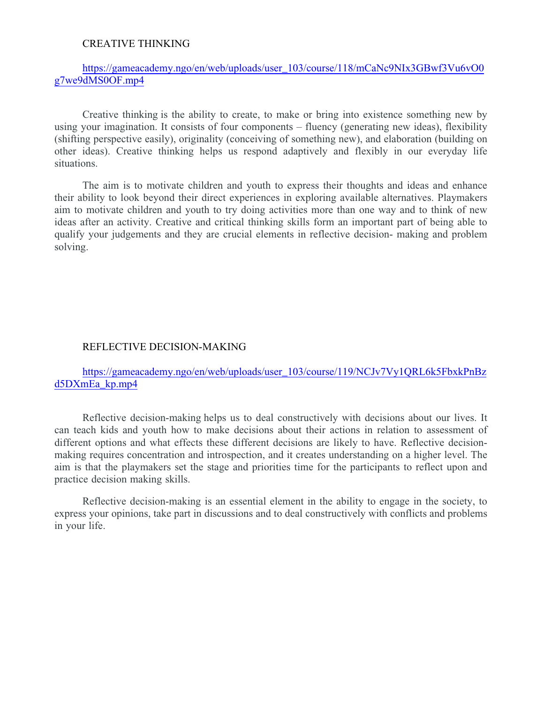### CREATIVE THINKING

### [https://gameacademy.ngo/en/web/uploads/user\\_103/course/118/mCaNc9NIx3GBwf3Vu6vO0](https://gameacademy.ngo/en/web/uploads/user_103/course/118/mCaNc9NIx3GBwf3Vu6vO0g7we9dMS0OF.mp4) [g7we9dMS0OF.mp4](https://gameacademy.ngo/en/web/uploads/user_103/course/118/mCaNc9NIx3GBwf3Vu6vO0g7we9dMS0OF.mp4)

Creative thinking is the ability to create, to make or bring into existence something new by using your imagination. It consists of four components – fluency (generating new ideas), flexibility (shifting perspective easily), originality (conceiving of something new), and elaboration (building on other ideas). Creative thinking helps us respond adaptively and flexibly in our everyday life situations.

The aim is to motivate children and youth to express their thoughts and ideas and enhance their ability to look beyond their direct experiences in exploring available alternatives. Playmakers aim to motivate children and youth to try doing activities more than one way and to think of new ideas after an activity. Creative and critical thinking skills form an important part of being able to qualify your judgements and they are crucial elements in reflective decision- making and problem solving.

#### REFLECTIVE DECISION-MAKING

### [https://gameacademy.ngo/en/web/uploads/user\\_103/course/119/NCJv7Vy1QRL6k5FbxkPnBz](https://gameacademy.ngo/en/web/uploads/user_103/course/119/NCJv7Vy1QRL6k5FbxkPnBzd5DXmEa_kp.mp4) [d5DXmEa\\_kp.mp4](https://gameacademy.ngo/en/web/uploads/user_103/course/119/NCJv7Vy1QRL6k5FbxkPnBzd5DXmEa_kp.mp4)

Reflective decision-making helps us to deal constructively with decisions about our lives. It can teach kids and youth how to make decisions about their actions in relation to assessment of different options and what effects these different decisions are likely to have. Reflective decisionmaking requires concentration and introspection, and it creates understanding on a higher level. The aim is that the playmakers set the stage and priorities time for the participants to reflect upon and practice decision making skills.

Reflective decision-making is an essential element in the ability to engage in the society, to express your opinions, take part in discussions and to deal constructively with conflicts and problems in your life.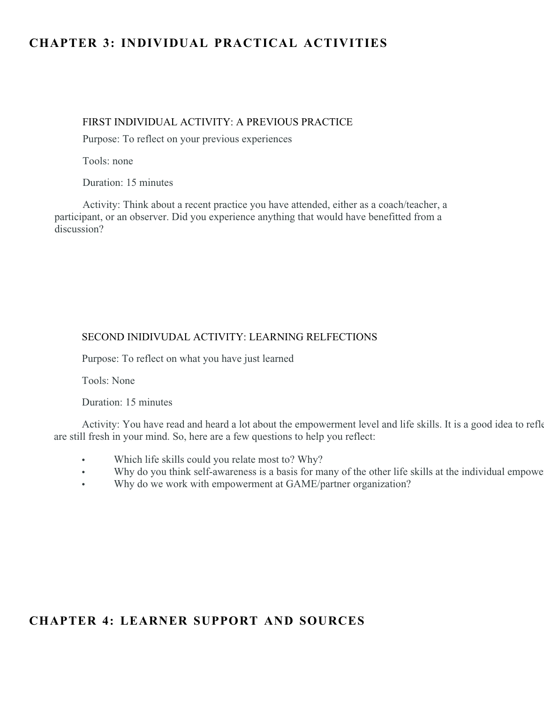# **CHAPTER 3: INDIVIDUAL PRACTICAL ACTIVITIES**

#### FIRST INDIVIDUAL ACTIVITY: A PREVIOUS PRACTICE

Purpose: To reflect on your previous experiences

Tools: none

Duration: 15 minutes

Activity: Think about a recent practice you have attended, either as a coach/teacher, a participant, or an observer. Did you experience anything that would have benefitted from a discussion?

### SECOND INIDIVUDAL ACTIVITY: LEARNING RELFECTIONS

Purpose: To reflect on what you have just learned

Tools: None

Duration: 15 minutes

Activity: You have read and heard a lot about the empowerment level and life skills. It is a good idea to refle are still fresh in your mind. So, here are a few questions to help you reflect:

- Which life skills could you relate most to? Why?
- Why do you think self-awareness is a basis for many of the other life skills at the individual empowerment when  $\mathbf{v}$
- Why do we work with empowerment at GAME/partner organization?

## **CHAPTER 4: LEARNER SUPPORT AND SOURCES**